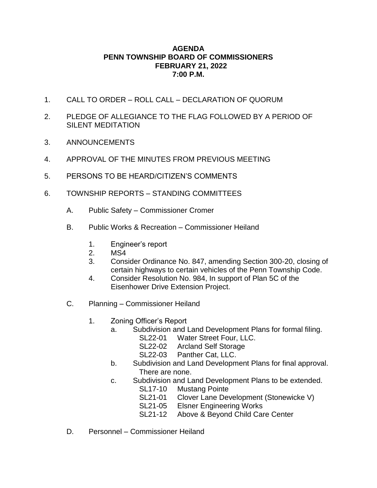## **AGENDA PENN TOWNSHIP BOARD OF COMMISSIONERS FEBRUARY 21, 2022 7:00 P.M.**

- 1. CALL TO ORDER ROLL CALL DECLARATION OF QUORUM
- 2. PLEDGE OF ALLEGIANCE TO THE FLAG FOLLOWED BY A PERIOD OF SILENT MEDITATION
- 3. ANNOUNCEMENTS
- 4. APPROVAL OF THE MINUTES FROM PREVIOUS MEETING
- 5. PERSONS TO BE HEARD/CITIZEN'S COMMENTS
- 6. TOWNSHIP REPORTS STANDING COMMITTEES
	- A. Public Safety Commissioner Cromer
	- B. Public Works & Recreation Commissioner Heiland
		- 1. Engineer's report
		- 2. MS4
		- 3. Consider Ordinance No. 847, amending Section 300-20, closing of certain highways to certain vehicles of the Penn Township Code.
		- 4. Consider Resolution No. 984, In support of Plan 5C of the Eisenhower Drive Extension Project.
	- C. Planning Commissioner Heiland
		- 1. Zoning Officer's Report
			- a. Subdivision and Land Development Plans for formal filing.
				- SL22-01 Water Street Four, LLC.
				- SL22-02 Arcland Self Storage
				- SL22-03 Panther Cat, LLC.
			- b. Subdivision and Land Development Plans for final approval. There are none.
			- c. Subdivision and Land Development Plans to be extended.
				- SL17-10 Mustang Pointe
				- SL21-01 Clover Lane Development (Stonewicke V)
				- SL21-05 Elsner Engineering Works
				- SL21-12 Above & Beyond Child Care Center
	- D. Personnel Commissioner Heiland